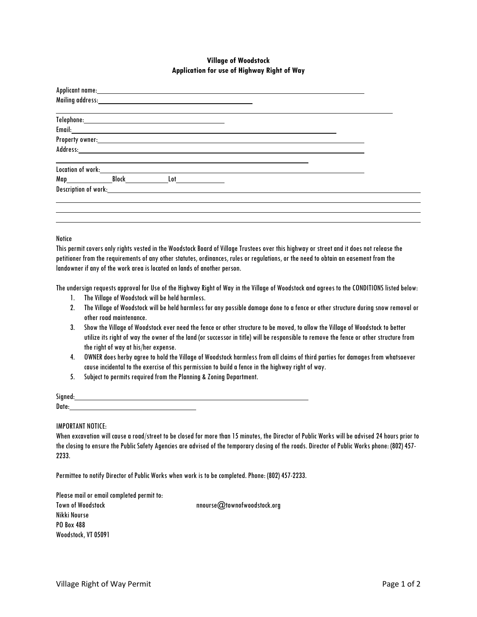## **Village of Woodstock Application for use of Highway Right of Way**

|                                                                    | $\begin{tabular}{c} \bf Telephone: & \textcolor{red}{\textbf{I}} \end{tabular}$                                                                                                                                                                      |  |  |
|--------------------------------------------------------------------|------------------------------------------------------------------------------------------------------------------------------------------------------------------------------------------------------------------------------------------------------|--|--|
|                                                                    | Email: <b>Example 2018</b> Product of the Contract of Contract of the Contract of Contract of Contract of Contract of Contract of Contract of Contract of Contract of Contract of Contract of Contract of Contract of Contract of C                  |  |  |
|                                                                    |                                                                                                                                                                                                                                                      |  |  |
|                                                                    |                                                                                                                                                                                                                                                      |  |  |
| Location of work: New York State of Works and State State of Texas |                                                                                                                                                                                                                                                      |  |  |
|                                                                    |                                                                                                                                                                                                                                                      |  |  |
|                                                                    | Map Block Lot<br><b>Description of work:</b> The contract of the contract of the contract of the contract of the contract of the contract of the contract of the contract of the contract of the contract of the contract of the contract of the con |  |  |
|                                                                    |                                                                                                                                                                                                                                                      |  |  |
|                                                                    |                                                                                                                                                                                                                                                      |  |  |
|                                                                    |                                                                                                                                                                                                                                                      |  |  |
|                                                                    |                                                                                                                                                                                                                                                      |  |  |

## **Notice**

This permit covers only rights vested in the Woodstock Board of Village Trustees over this highway or street and it does not release the petitioner from the requirements of any other statutes, ordinances, rules or regulations, or the need to obtain an easement from the landowner if any of the work area is located on lands of another person.

The undersign requests approval for Use of the Highway Right of Way in the Village of Woodstock and agrees to the CONDITIONS listed below:

- 1. The Village of Woodstock will be held harmless.
- 2. The Village of Woodstock will be held harmless for any possible damage done to a fence or other structure during snow removal or other road maintenance.
- 3. Show the Village of Woodstock ever need the fence or other structure to be moved, to allow the Village of Woodstock to better utilize its right of way the owner of the land (or successor in title) will be responsible to remove the fence or other structure from the right of way at his/her expense.
- 4. OWNER does herby agree to hold the Village of Woodstock harmless from all claims of third parties for damages from whatsoever cause incidental to the exercise of this permission to build a fence in the highway right of way.
- 5. Subject to permits required from the Planning & Zoning Department.

| Signed: |  |
|---------|--|
| Date:   |  |
|         |  |

## IMPORTANT NOTICE:

| When excavation will cause a road/street to be closed for more than 15 minutes, the Director of Public Works will be advised 24 hours prior to |
|------------------------------------------------------------------------------------------------------------------------------------------------|
| the closing to ensure the Public Safety Agencies are advised of the temporary closing of the roads. Director of Public Works phone: (802) 457- |
| 2233.                                                                                                                                          |

Permittee to notify Director of Public Works when work is to be completed. Phone: (802) 457-2233.

| Please mail or email completed permit to: |  |
|-------------------------------------------|--|
| Town of Woodstock                         |  |
| Nikki Nourse                              |  |
| PO Box 488                                |  |
| Woodstock, VT 05091                       |  |

nnourse@townofwoodstock.org